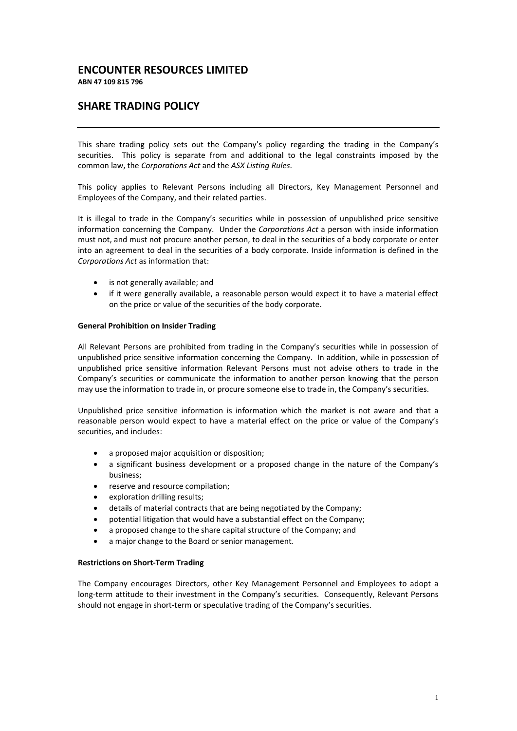# **ENCOUNTER RESOURCES LIMITED**

**ABN 47 109 815 796**

# **SHARE TRADING POLICY**

This share trading policy sets out the Company's policy regarding the trading in the Company's securities. This policy is separate from and additional to the legal constraints imposed by the common law, the *Corporations Act* and the *ASX Listing Rules*.

This policy applies to Relevant Persons including all Directors, Key Management Personnel and Employees of the Company, and their related parties.

It is illegal to trade in the Company's securities while in possession of unpublished price sensitive information concerning the Company. Under the *Corporations Act* a person with inside information must not, and must not procure another person, to deal in the securities of a body corporate or enter into an agreement to deal in the securities of a body corporate. Inside information is defined in the *Corporations Act* as information that:

- is not generally available; and
- if it were generally available, a reasonable person would expect it to have a material effect on the price or value of the securities of the body corporate.

# **General Prohibition on Insider Trading**

All Relevant Persons are prohibited from trading in the Company's securities while in possession of unpublished price sensitive information concerning the Company. In addition, while in possession of unpublished price sensitive information Relevant Persons must not advise others to trade in the Company's securities or communicate the information to another person knowing that the person may use the information to trade in, or procure someone else to trade in, the Company's securities.

Unpublished price sensitive information is information which the market is not aware and that a reasonable person would expect to have a material effect on the price or value of the Company's securities, and includes:

- a proposed major acquisition or disposition;
- a significant business development or a proposed change in the nature of the Company's business;
- reserve and resource compilation;
- exploration drilling results;
- details of material contracts that are being negotiated by the Company;
- potential litigation that would have a substantial effect on the Company;
- a proposed change to the share capital structure of the Company; and
- a major change to the Board or senior management.

#### **Restrictions on Short-Term Trading**

The Company encourages Directors, other Key Management Personnel and Employees to adopt a long-term attitude to their investment in the Company's securities. Consequently, Relevant Persons should not engage in short-term or speculative trading of the Company's securities.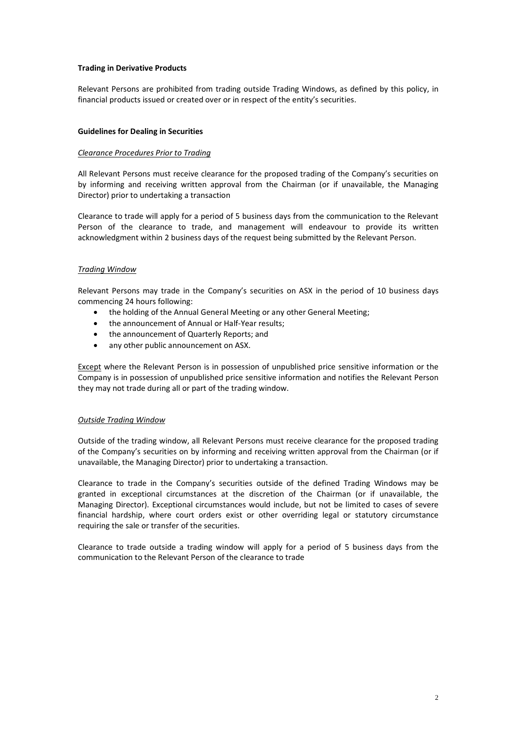# **Trading in Derivative Products**

Relevant Persons are prohibited from trading outside Trading Windows, as defined by this policy, in financial products issued or created over or in respect of the entity's securities.

# **Guidelines for Dealing in Securities**

#### *Clearance Procedures Prior to Trading*

All Relevant Persons must receive clearance for the proposed trading of the Company's securities on by informing and receiving written approval from the Chairman (or if unavailable, the Managing Director) prior to undertaking a transaction

Clearance to trade will apply for a period of 5 business days from the communication to the Relevant Person of the clearance to trade, and management will endeavour to provide its written acknowledgment within 2 business days of the request being submitted by the Relevant Person.

# *Trading Window*

Relevant Persons may trade in the Company's securities on ASX in the period of 10 business days commencing 24 hours following:

- the holding of the Annual General Meeting or any other General Meeting;
- the announcement of Annual or Half-Year results;
- the announcement of Quarterly Reports; and
- any other public announcement on ASX.

Except where the Relevant Person is in possession of unpublished price sensitive information or the Company is in possession of unpublished price sensitive information and notifies the Relevant Person they may not trade during all or part of the trading window.

#### *Outside Trading Window*

Outside of the trading window, all Relevant Persons must receive clearance for the proposed trading of the Company's securities on by informing and receiving written approval from the Chairman (or if unavailable, the Managing Director) prior to undertaking a transaction.

Clearance to trade in the Company's securities outside of the defined Trading Windows may be granted in exceptional circumstances at the discretion of the Chairman (or if unavailable, the Managing Director). Exceptional circumstances would include, but not be limited to cases of severe financial hardship, where court orders exist or other overriding legal or statutory circumstance requiring the sale or transfer of the securities.

Clearance to trade outside a trading window will apply for a period of 5 business days from the communication to the Relevant Person of the clearance to trade